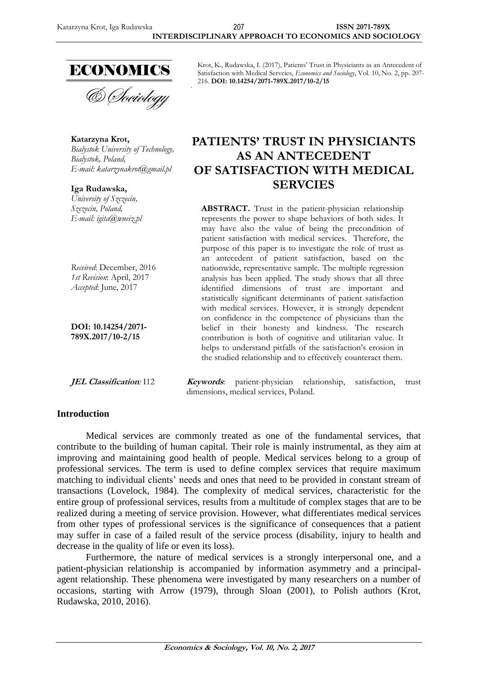

& Sociology

**Katarzyna Krot,** *Bialystok University of Technology, Bialystok, Poland, E-mail: [katarzynakrot@gmail.pl](mailto:katarzynakrot@gmail.pl)*

**Iga Rudawska,** *University of Szczecin, Szczecin, Poland, E-mail: [igita@wneiz.pl](mailto:igita@wneiz.pl)*

*Received*: December, 2016 *1st Revision*: April, 2017 *Accepted*: June, 2017

**DOI: 10.14254/2071- 789X.2017/10-2/15**

# **Introduction**

Krot, K., Rudawska, I. (2017), Patients' Trust in Physiciants as an Antecedent of Satisfaction with Medical Servcies, *Economics and Sociology*, Vol. 10, No. 2, pp. 207- 216. **DOI: 10.14254/2071-789X.2017/10-2/15**

# **PATIENTS' TRUST IN PHYSICIANTS AS AN ANTECEDENT OF SATISFACTION WITH MEDICAL SERVCIES**

**ABSTRACT.** Trust in the patient-physician relationship represents the power to shape behaviors of both sides. It may have also the value of being the precondition of patient satisfaction with medical services. Therefore, the purpose of this paper is to investigate the role of trust as an antecedent of patient satisfaction, based on the nationwide, representative sample. The multiple regression analysis has been applied. The study shows that all three identified dimensions of trust are important and statistically significant determinants of patient satisfaction with medical services. However, it is strongly dependent on confidence in the competence of physicians than the belief in their honesty and kindness. The research contribution is both of cognitive and utilitarian value. It helps to understand pitfalls of the satisfaction's erosion in the studied relationship and to effectively counteract them.

**JEL Classification***:* I12 **Keywords**: patient-physician relationship, satisfaction, trust dimensions, medical services, Poland.

Medical services are commonly treated as one of the fundamental services, that contribute to the building of human capital. Their role is mainly instrumental, as they aim at improving and maintaining good health of people. Medical services belong to a group of professional services. The term is used to define complex services that require maximum matching to individual clients' needs and ones that need to be provided in constant stream of transactions (Lovelock, 1984). The complexity of medical services, characteristic for the entire group of professional services, results from a multitude of complex stages that are to be realized during a meeting of service provision. However, what differentiates medical services from other types of professional services is the significance of consequences that a patient may suffer in case of a failed result of the service process (disability, injury to health and decrease in the quality of life or even its loss).

Furthermore, the nature of medical services is a strongly interpersonal one, and a patient-physician relationship is accompanied by information asymmetry and a principalagent relationship. These phenomena were investigated by many researchers on a number of occasions, starting with Arrow (1979), through Sloan (2001), to Polish authors (Krot, Rudawska, 2010, 2016).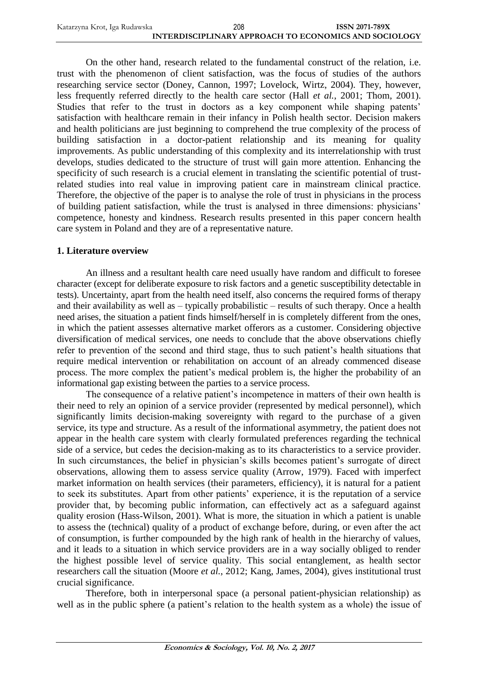| Katarzyna Krot, Iga Rudawska | 208                                                   | <b>ISSN 2071-789X</b> |
|------------------------------|-------------------------------------------------------|-----------------------|
|                              | INTERDISCIPLINARY APPROACH TO ECONOMICS AND SOCIOLOGY |                       |

On the other hand, research related to the fundamental construct of the relation, i.e. trust with the phenomenon of client satisfaction, was the focus of studies of the authors researching service sector (Doney, Cannon, 1997; Lovelock, Wirtz, 2004). They, however, less frequently referred directly to the health care sector (Hall *et al.*, 2001; Thom, 2001). Studies that refer to the trust in doctors as a key component while shaping patents' satisfaction with healthcare remain in their infancy in Polish health sector. Decision makers and health politicians are just beginning to comprehend the true complexity of the process of building satisfaction in a doctor-patient relationship and its meaning for quality improvements. As public understanding of this complexity and its interrelationship with trust develops, studies dedicated to the structure of trust will gain more attention. Enhancing the specificity of such research is a crucial element in translating the scientific potential of trustrelated studies into real value in improving patient care in mainstream clinical practice. Therefore, the objective of the paper is to analyse the role of trust in physicians in the process of building patient satisfaction, while the trust is analysed in three dimensions: physicians' competence, honesty and kindness. Research results presented in this paper concern health care system in Poland and they are of a representative nature.

# **1. Literature overview**

An illness and a resultant health care need usually have random and difficult to foresee character (except for deliberate exposure to risk factors and a genetic susceptibility detectable in tests). Uncertainty, apart from the health need itself, also concerns the required forms of therapy and their availability as well as – typically probabilistic – results of such therapy. Once a health need arises, the situation a patient finds himself/herself in is completely different from the ones, in which the patient assesses alternative market offerors as a customer. Considering objective diversification of medical services, one needs to conclude that the above observations chiefly refer to prevention of the second and third stage, thus to such patient's health situations that require medical intervention or rehabilitation on account of an already commenced disease process. The more complex the patient's medical problem is, the higher the probability of an informational gap existing between the parties to a service process.

The consequence of a relative patient's incompetence in matters of their own health is their need to rely an opinion of a service provider (represented by medical personnel), which significantly limits decision-making sovereignty with regard to the purchase of a given service, its type and structure. As a result of the informational asymmetry, the patient does not appear in the health care system with clearly formulated preferences regarding the technical side of a service, but cedes the decision-making as to its characteristics to a service provider. In such circumstances, the belief in physician's skills becomes patient's surrogate of direct observations, allowing them to assess service quality (Arrow, 1979). Faced with imperfect market information on health services (their parameters, efficiency), it is natural for a patient to seek its substitutes. Apart from other patients' experience, it is the reputation of a service provider that, by becoming public information, can effectively act as a safeguard against quality erosion (Hass-Wilson, 2001). What is more, the situation in which a patient is unable to assess the (technical) quality of a product of exchange before, during, or even after the act of consumption, is further compounded by the high rank of health in the hierarchy of values, and it leads to a situation in which service providers are in a way socially obliged to render the highest possible level of service quality. This social entanglement, as health sector researchers call the situation (Moore *et al.*, 2012; Kang, James, 2004), gives institutional trust crucial significance.

Therefore, both in interpersonal space (a personal patient-physician relationship) as well as in the public sphere (a patient's relation to the health system as a whole) the issue of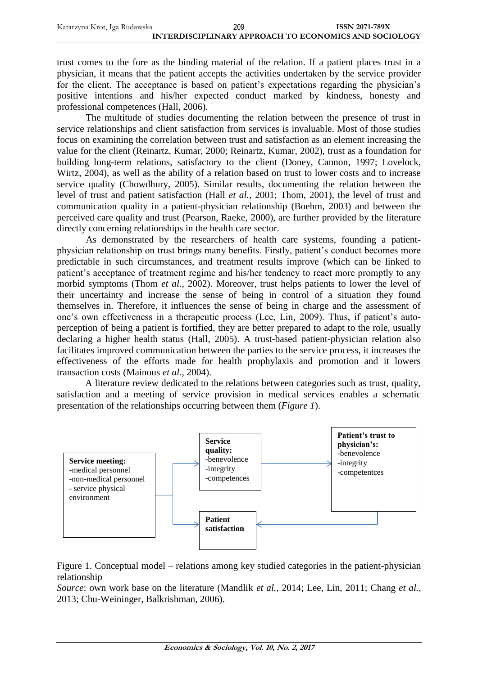| Katarzyna Krot, Iga Rudawska | 209                                                   | <b>ISSN 2071-789X</b> |
|------------------------------|-------------------------------------------------------|-----------------------|
|                              | INTERDISCIPLINARY APPROACH TO ECONOMICS AND SOCIOLOGY |                       |

trust comes to the fore as the binding material of the relation. If a patient places trust in a physician, it means that the patient accepts the activities undertaken by the service provider for the client. The acceptance is based on patient's expectations regarding the physician's positive intentions and his/her expected conduct marked by kindness, honesty and professional competences (Hall, 2006).

The multitude of studies documenting the relation between the presence of trust in service relationships and client satisfaction from services is invaluable. Most of those studies focus on examining the correlation between trust and satisfaction as an element increasing the value for the client (Reinartz, Kumar, 2000; Reinartz, Kumar, 2002), trust as a foundation for building long-term relations, satisfactory to the client (Doney, Cannon, 1997; Lovelock, Wirtz, 2004), as well as the ability of a relation based on trust to lower costs and to increase service quality (Chowdhury, 2005). Similar results, documenting the relation between the level of trust and patient satisfaction (Hall *et al.*, 2001; Thom, 2001), the level of trust and communication quality in a patient-physician relationship (Boehm, 2003) and between the perceived care quality and trust (Pearson, Raeke, 2000), are further provided by the literature directly concerning relationships in the health care sector.

As demonstrated by the researchers of health care systems, founding a patientphysician relationship on trust brings many benefits. Firstly, patient's conduct becomes more predictable in such circumstances, and treatment results improve (which can be linked to patient's acceptance of treatment regime and his/her tendency to react more promptly to any morbid symptoms (Thom *et al.*, 2002). Moreover, trust helps patients to lower the level of their uncertainty and increase the sense of being in control of a situation they found themselves in. Therefore, it influences the sense of being in charge and the assessment of one's own effectiveness in a therapeutic process (Lee, Lin, 2009). Thus, if patient's autoperception of being a patient is fortified, they are better prepared to adapt to the role, usually declaring a higher health status (Hall, 2005). A trust-based patient-physician relation also facilitates improved communication between the parties to the service process, it increases the effectiveness of the efforts made for health prophylaxis and promotion and it lowers transaction costs (Mainous *et al.*, 2004).

A literature review dedicated to the relations between categories such as trust, quality, satisfaction and a meeting of service provision in medical services enables a schematic presentation of the relationships occurring between them (*Figure 1*).





*Source*: own work base on the literature (Mandlik *et al.*, 2014; Lee, Lin, 2011; Chang *et al.*, 2013; Chu-Weininger, Balkrishman, 2006).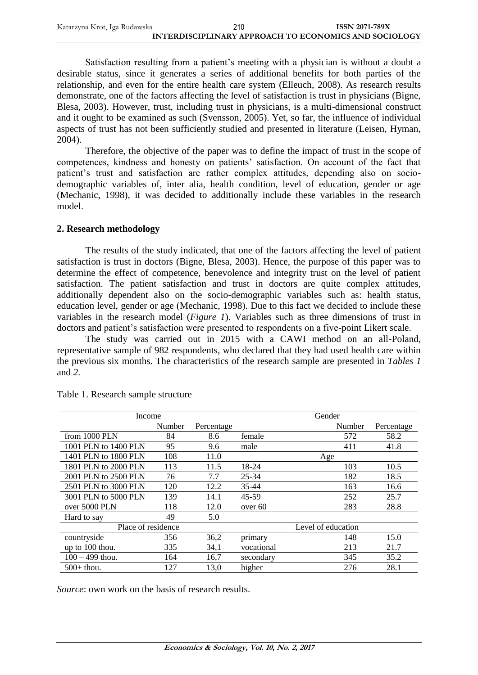| Katarzyna Krot, Iga Rudawska | 210                                                   | <b>ISSN 2071-789X</b> |
|------------------------------|-------------------------------------------------------|-----------------------|
|                              | INTERDISCIPLINARY APPROACH TO ECONOMICS AND SOCIOLOGY |                       |

Satisfaction resulting from a patient's meeting with a physician is without a doubt a desirable status, since it generates a series of additional benefits for both parties of the relationship, and even for the entire health care system (Elleuch, 2008). As research results demonstrate, one of the factors affecting the level of satisfaction is trust in physicians (Bigne, Blesa, 2003). However, trust, including trust in physicians, is a multi-dimensional construct and it ought to be examined as such (Svensson, 2005). Yet, so far, the influence of individual aspects of trust has not been sufficiently studied and presented in literature (Leisen, Hyman, 2004).

Therefore, the objective of the paper was to define the impact of trust in the scope of competences, kindness and honesty on patients' satisfaction. On account of the fact that patient's trust and satisfaction are rather complex attitudes, depending also on sociodemographic variables of, inter alia, health condition, level of education, gender or age (Mechanic, 1998), it was decided to additionally include these variables in the research model.

#### **2. Research methodology**

The results of the study indicated, that one of the factors affecting the level of patient satisfaction is trust in doctors (Bigne, Blesa, 2003). Hence, the purpose of this paper was to determine the effect of competence, benevolence and integrity trust on the level of patient satisfaction. The patient satisfaction and trust in doctors are quite complex attitudes, additionally dependent also on the socio-demographic variables such as: health status, education level, gender or age (Mechanic, 1998). Due to this fact we decided to include these variables in the research model (*Figure 1*). Variables such as three dimensions of trust in doctors and patient's satisfaction were presented to respondents on a five-point Likert scale.

The study was carried out in 2015 with a CAWI method on an all-Poland, representative sample of 982 respondents, who declared that they had used health care within the previous six months. The characteristics of the research sample are presented in *Tables 1* and *2*.

| Income               |        |            |            | Gender             |            |
|----------------------|--------|------------|------------|--------------------|------------|
|                      | Number | Percentage |            | Number             | Percentage |
| from 1000 PLN        | 84     | 8.6        | female     | 572                | 58.2       |
| 1001 PLN to 1400 PLN | 95     | 9.6        | male       | 411                | 41.8       |
| 1401 PLN to 1800 PLN | 108    | 11.0       |            | Age                |            |
| 1801 PLN to 2000 PLN | 113    | 11.5       | 18-24      | 103                | 10.5       |
| 2001 PLN to 2500 PLN | 76     | 7.7        | 25-34      | 182                | 18.5       |
| 2501 PLN to 3000 PLN | 120    | 12.2       | 35-44      | 163                | 16.6       |
| 3001 PLN to 5000 PLN | 139    | 14.1       | 45-59      | 252                | 25.7       |
| over 5000 PLN        | 118    | 12.0       | over 60    | 283                | 28.8       |
| Hard to say          | 49     | 5.0        |            |                    |            |
| Place of residence   |        |            |            | Level of education |            |
| countryside          | 356    | 36,2       | primary    | 148                | 15.0       |
| up to 100 thou.      | 335    | 34,1       | vocational | 213                | 21.7       |
| $100 - 499$ thou.    | 164    | 16,7       | secondary  | 345                | 35.2       |
| $500+$ thou.         | 127    | 13,0       | higher     | 276                | 28.1       |

Table 1. Research sample structure

*Source*: own work on the basis of research results.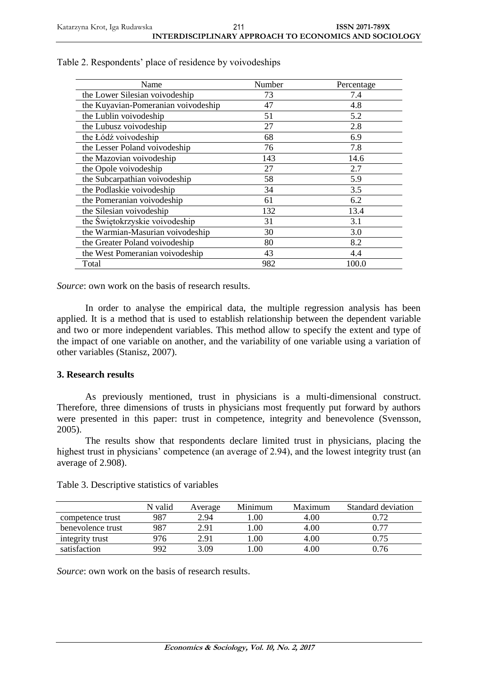| Name                                | Number | Percentage |
|-------------------------------------|--------|------------|
| the Lower Silesian voivodeship      | 73     | 7.4        |
| the Kuyavian-Pomeranian voivodeship | 47     | 4.8        |
| the Lublin voivodeship              | 51     | 5.2        |
| the Lubusz voivodeship              | 27     | 2.8        |
| the Łódź voivodeship                | 68     | 6.9        |
| the Lesser Poland voivodeship       | 76     | 7.8        |
| the Mazovian voivodeship            | 143    | 14.6       |
| the Opole voivodeship               | 27     | 2.7        |
| the Subcarpathian voivodeship       | 58     | 5.9        |
| the Podlaskie voivodeship           | 34     | 3.5        |
| the Pomeranian voivodeship          | 61     | 6.2        |
| the Silesian voivodeship            | 132    | 13.4       |
| the Świętokrzyskie voivodeship      | 31     | 3.1        |
| the Warmian-Masurian voivodeship    | 30     | 3.0        |
| the Greater Poland voivodeship      | 80     | 8.2        |
| the West Pomeranian voivodeship     | 43     | 4.4        |
| Total                               | 982    | 100.0      |

| Table 2. Respondents' place of residence by voivodeships |  |
|----------------------------------------------------------|--|
|                                                          |  |

*Source*: own work on the basis of research results.

In order to analyse the empirical data, the multiple regression analysis has been applied. It is a method that is used to establish relationship between the dependent variable and two or more independent variables. This method allow to specify the extent and type of the impact of one variable on another, and the variability of one variable using a variation of other variables (Stanisz, 2007).

#### **3. Research results**

As previously mentioned, trust in physicians is a multi-dimensional construct. Therefore, three dimensions of trusts in physicians most frequently put forward by authors were presented in this paper: trust in competence, integrity and benevolence (Svensson, 2005).

The results show that respondents declare limited trust in physicians, placing the highest trust in physicians' competence (an average of 2.94), and the lowest integrity trust (an average of 2.908).

|                   | N valid | Average | Minimum | Maximum | Standard deviation |
|-------------------|---------|---------|---------|---------|--------------------|
| competence trust  | 987     | 2.94    | .00     | 4.00    | 0.72               |
| benevolence trust | 987     | 2.91    | 00.     | 4.00    | 0.77               |
| integrity trust   | 976     | 2.91    | .00     | 4.00    | 0.75               |
| satisfaction      | 992     | 3.09    | .00     | 4.00    | 0.76               |

Table 3. Descriptive statistics of variables

*Source*: own work on the basis of research results.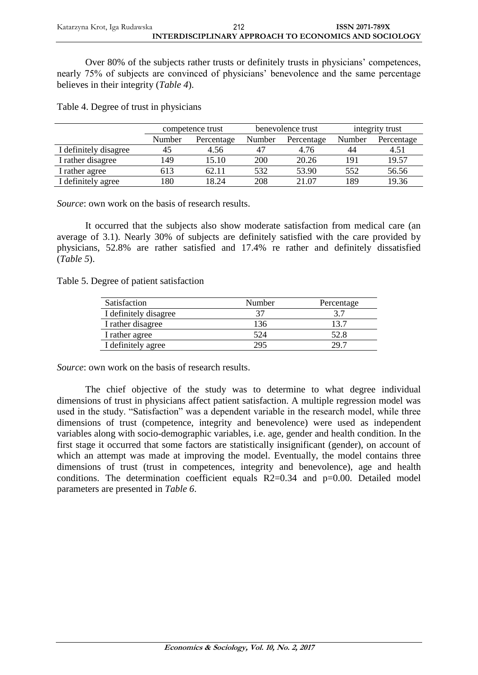Over 80% of the subjects rather trusts or definitely trusts in physicians' competences, nearly 75% of subjects are convinced of physicians' benevolence and the same percentage believes in their integrity (*Table 4*).

Table 4. Degree of trust in physicians

|                       | competence trust |            | benevolence trust |            | integrity trust |            |
|-----------------------|------------------|------------|-------------------|------------|-----------------|------------|
|                       | Number           | Percentage | Number            | Percentage | Number          | Percentage |
| I definitely disagree | 45               | 4.56       |                   | 4.76       | 44              | 4.51       |
| I rather disagree     | 149              | 15.10      | 200               | 20.26      | 191             | 19.57      |
| I rather agree        | 613              | 62.11      | 532               | 53.90      | 552             | 56.56      |
| I definitely agree    | 180              | 18.24      | 208               | 21.07      | 189             | 19.36      |

*Source*: own work on the basis of research results.

It occurred that the subjects also show moderate satisfaction from medical care (an average of 3.1). Nearly 30% of subjects are definitely satisfied with the care provided by physicians, 52.8% are rather satisfied and 17.4% re rather and definitely dissatisfied (*Table 5*).

Table 5. Degree of patient satisfaction

| Satisfaction          | Number | Percentage |
|-----------------------|--------|------------|
| I definitely disagree | 37     |            |
| I rather disagree     | 136    | 13.7       |
| I rather agree        | 524    | 52.8       |
| I definitely agree    | 295    | 29 Z       |

*Source*: own work on the basis of research results.

The chief objective of the study was to determine to what degree individual dimensions of trust in physicians affect patient satisfaction. A multiple regression model was used in the study. "Satisfaction" was a dependent variable in the research model, while three dimensions of trust (competence, integrity and benevolence) were used as independent variables along with socio-demographic variables, i.e. age, gender and health condition. In the first stage it occurred that some factors are statistically insignificant (gender), on account of which an attempt was made at improving the model. Eventually, the model contains three dimensions of trust (trust in competences, integrity and benevolence), age and health conditions. The determination coefficient equals  $R2=0.34$  and  $p=0.00$ . Detailed model parameters are presented in *Table 6*.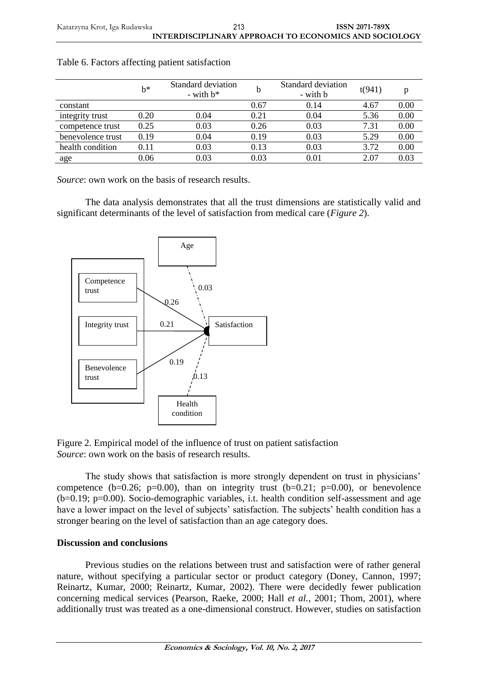Katarzyna Krot, Iga Rudawska **ISSN 2071-789X INTERDISCIPLINARY APPROACH TO ECONOMICS AND SOCIOLOGY** 213

|                   | b*   | Standard deviation<br>- with $b^*$ |      | Standard deviation<br>- with <b>b</b> | t(941) |      |
|-------------------|------|------------------------------------|------|---------------------------------------|--------|------|
| constant          |      |                                    | 0.67 | 0.14                                  | 4.67   | 0.00 |
| integrity trust   | 0.20 | 0.04                               | 0.21 | 0.04                                  | 5.36   | 0.00 |
| competence trust  | 0.25 | 0.03                               | 0.26 | 0.03                                  | 7.31   | 0.00 |
| benevolence trust | 0.19 | 0.04                               | 0.19 | 0.03                                  | 5.29   | 0.00 |
| health condition  | 0.11 | 0.03                               | 0.13 | 0.03                                  | 3.72   | 0.00 |
| age               | 0.06 | $0.03\,$                           | 0.03 | 0.01                                  | 2.07   | 0.03 |

*Source*: own work on the basis of research results.

The data analysis demonstrates that all the trust dimensions are statistically valid and significant determinants of the level of satisfaction from medical care (*Figure 2*).



Figure 2. Empirical model of the influence of trust on patient satisfaction *Source*: own work on the basis of research results.

The study shows that satisfaction is more strongly dependent on trust in physicians' competence (b=0.26; p=0.00), than on integrity trust (b=0.21; p=0.00), or benevolence (b=0.19; p=0.00). Socio-demographic variables, i.t. health condition self-assessment and age have a lower impact on the level of subjects' satisfaction. The subjects' health condition has a stronger bearing on the level of satisfaction than an age category does.

# **Discussion and conclusions**

Previous studies on the relations between trust and satisfaction were of rather general nature, without specifying a particular sector or product category (Doney, Cannon, 1997; Reinartz, Kumar, 2000; Reinartz, Kumar, 2002). There were decidedly fewer publication concerning medical services (Pearson, Raeke, 2000; Hall *et al.*, 2001; Thom, 2001), where additionally trust was treated as a one-dimensional construct. However, studies on satisfaction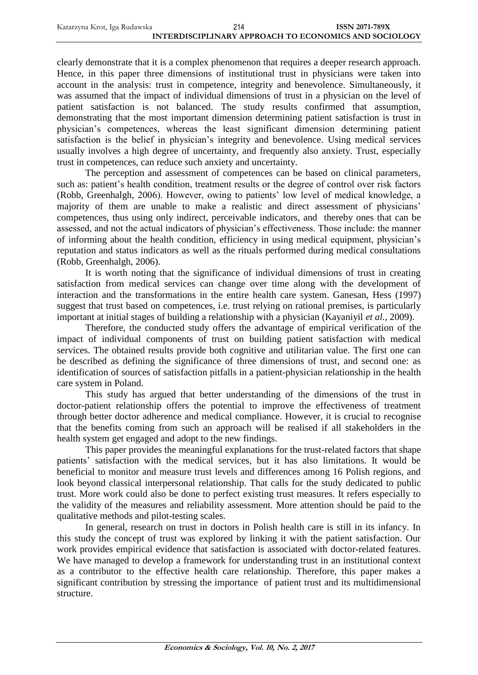| Katarzyna Krot, Iga Rudawska | 214                                                   | <b>ISSN 2071-789X</b> |
|------------------------------|-------------------------------------------------------|-----------------------|
|                              | INTERDISCIPLINARY APPROACH TO ECONOMICS AND SOCIOLOGY |                       |

clearly demonstrate that it is a complex phenomenon that requires a deeper research approach. Hence, in this paper three dimensions of institutional trust in physicians were taken into account in the analysis: trust in competence, integrity and benevolence. Simultaneously, it was assumed that the impact of individual dimensions of trust in a physician on the level of patient satisfaction is not balanced. The study results confirmed that assumption, demonstrating that the most important dimension determining patient satisfaction is trust in physician's competences, whereas the least significant dimension determining patient satisfaction is the belief in physician's integrity and benevolence. Using medical services usually involves a high degree of uncertainty, and frequently also anxiety. Trust, especially trust in competences, can reduce such anxiety and uncertainty.

The perception and assessment of competences can be based on clinical parameters, such as: patient's health condition, treatment results or the degree of control over risk factors (Robb, Greenhalgh, 2006). However, owing to patients' low level of medical knowledge, a majority of them are unable to make a realistic and direct assessment of physicians' competences, thus using only indirect, perceivable indicators, and thereby ones that can be assessed, and not the actual indicators of physician's effectiveness. Those include: the manner of informing about the health condition, efficiency in using medical equipment, physician's reputation and status indicators as well as the rituals performed during medical consultations (Robb, Greenhalgh, 2006).

It is worth noting that the significance of individual dimensions of trust in creating satisfaction from medical services can change over time along with the development of interaction and the transformations in the entire health care system. Ganesan, Hess (1997) suggest that trust based on competences, i.e. trust relying on rational premises, is particularly important at initial stages of building a relationship with a physician (Kayaniyil *et al.*, 2009).

Therefore, the conducted study offers the advantage of empirical verification of the impact of individual components of trust on building patient satisfaction with medical services. The obtained results provide both cognitive and utilitarian value. The first one can be described as defining the significance of three dimensions of trust, and second one: as identification of sources of satisfaction pitfalls in a patient-physician relationship in the health care system in Poland.

This study has argued that better understanding of the dimensions of the trust in doctor-patient relationship offers the potential to improve the effectiveness of treatment through better doctor adherence and medical compliance. However, it is crucial to recognise that the benefits coming from such an approach will be realised if all stakeholders in the health system get engaged and adopt to the new findings.

This paper provides the meaningful explanations for the trust-related factors that shape patients' satisfaction with the medical services, but it has also limitations. It would be beneficial to monitor and measure trust levels and differences among 16 Polish regions, and look beyond classical interpersonal relationship. That calls for the study dedicated to public trust. More work could also be done to perfect existing trust measures. It refers especially to the validity of the measures and reliability assessment. More attention should be paid to the qualitative methods and pilot-testing scales.

In general, research on trust in doctors in Polish health care is still in its infancy. In this study the concept of trust was explored by linking it with the patient satisfaction. Our work provides empirical evidence that satisfaction is associated with doctor-related features. We have managed to develop a framework for understanding trust in an institutional context as a contributor to the effective health care relationship. Therefore, this paper makes a significant contribution by stressing the importance of patient trust and its multidimensional structure.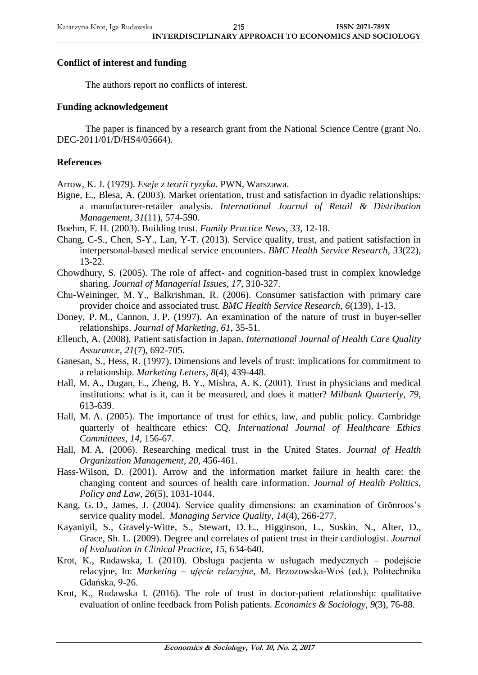# **Conflict of interest and funding**

The authors report no conflicts of interest.

# **Funding acknowledgement**

The paper is financed by a research grant from the National Science Centre (grant No. DEC-2011/01/D/HS4/05664).

# **References**

Arrow, K. J. (1979). *Eseje z teorii ryzyka*. PWN, Warszawa.

- Bigne, E., Blesa, A. (2003). Market orientation, trust and satisfaction in dyadic relationships: a manufacturer-retailer analysis. *International Journal of Retail & Distribution Management*, *31*(11), 574-590.
- Boehm, F. H. (2003). Building trust. *Family Practice News*, *33*, 12-18.
- Chang, C-S., Chen, S-Y., Lan, Y-T. (2013). Service quality, trust, and patient satisfaction in interpersonal-based medical service encounters. *BMC Health Service Research*, *33*(22), 13-22.
- Chowdhury, S. (2005). The role of affect- and cognition-based trust in complex knowledge sharing. *Journal of Managerial Issues*, *17*, 310-327.
- Chu-Weininger, M. Y., Balkrishman, R. (2006). Consumer satisfaction with primary care provider choice and associated trust. *BMC Health Service Research*, *6*(139), 1-13.
- Doney, P. M., Cannon, J. P. (1997). An examination of the nature of trust in buyer-seller relationships. *Journal of Marketing*, *61*, 35-51.
- Elleuch, A. (2008). Patient satisfaction in Japan. *International Journal of Health Care Quality Assurance*, *21*(7), 692-705.
- Ganesan, S., Hess, R. (1997). Dimensions and levels of trust: implications for commitment to a relationship. *Marketing Letters*, *8*(4), 439-448.
- Hall, M. A., Dugan, E., Zheng, B. Y., Mishra, A. K. (2001). Trust in physicians and medical institutions: what is it, can it be measured, and does it matter? *Milbank Quarterly*, *79*, 613-639.
- Hall, M. A. (2005). The importance of trust for ethics, law, and public policy. Cambridge quarterly of healthcare ethics: CQ. *International Journal of Healthcare Ethics Committees*, *14*, 156-67.
- Hall, M. A. (2006). Researching medical trust in the United States. *Journal of Health Organization Management*, *20*, 456-461.
- Hass-Wilson, D. (2001). Arrow and the information market failure in health care: the changing content and sources of health care information. *Journal of Health Politics, Policy and Law*, *26*(5), 1031-1044.
- Kang, G. D., James, J. (2004). Service quality dimensions: an examination of Grönroos's service quality model. *Managing Service Quality*, *14*(4), 266-277.
- Kayaniyil, S., Gravely-Witte, S., Stewart, D. E., Higginson, L., Suskin, N., Alter, D., Grace, Sh. L. (2009). Degree and correlates of patient trust in their cardiologist. *Journal of Evaluation in Clinical Practice*, *15*, 634-640.
- Krot, K., Rudawska, I. (2010). Obsługa pacjenta w usługach medycznych podejście relacyjne, In: *Marketing – ujęcie relacyjne*, M. Brzozowska-Woś (ed.), Politechnika Gdańska, 9-26.
- Krot, K., Rudawska I. (2016). The role of trust in doctor-patient relationship: qualitative evaluation of online feedback from Polish patients. *Economics & Sociology*, *9*(3), 76-88.